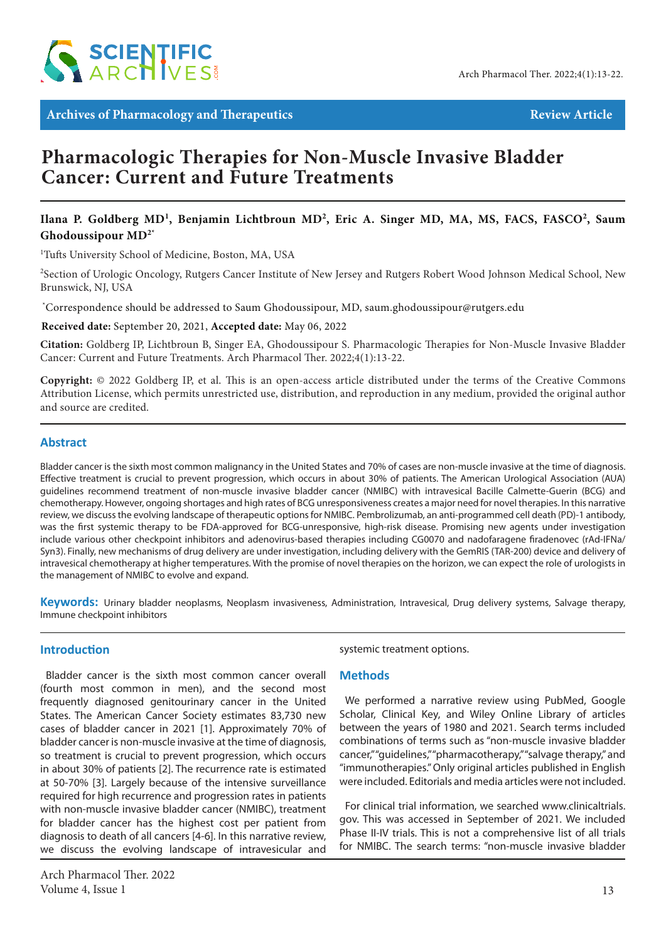

Archives of Pharmacology and Therapeutics **Review Article** Review Article

# **Pharmacologic Therapies for Non-Muscle Invasive Bladder Cancer: Current and Future Treatments**

# Ilana P. Goldberg MD<sup>1</sup>, Benjamin Lichtbroun MD<sup>2</sup>, Eric A. Singer MD, MA, MS, FACS, FASCO<sup>2</sup>, Saum **Ghodoussipour MD2\***

<sup>1</sup>Tufts University School of Medicine, Boston, MA, USA

<sup>2</sup>Section of Urologic Oncology, Rutgers Cancer Institute of New Jersey and Rutgers Robert Wood Johnson Medical School, New Brunswick, NJ, USA

\* Correspondence should be addressed to Saum Ghodoussipour, MD, saum.ghodoussipour@rutgers.edu

**Received date:** September 20, 2021, **Accepted date:** May 06, 2022

**Citation:** Goldberg IP, Lichtbroun B, Singer EA, Ghodoussipour S. Pharmacologic Therapies for Non-Muscle Invasive Bladder Cancer: Current and Future Treatments. Arch Pharmacol Ther. 2022;4(1):13-22.

**Copyright:** © 2022 Goldberg IP, et al. This is an open-access article distributed under the terms of the Creative Commons Attribution License, which permits unrestricted use, distribution, and reproduction in any medium, provided the original author and source are credited.

# **Abstract**

Bladder cancer is the sixth most common malignancy in the United States and 70% of cases are non-muscle invasive at the time of diagnosis. Effective treatment is crucial to prevent progression, which occurs in about 30% of patients. The American Urological Association (AUA) guidelines recommend treatment of non-muscle invasive bladder cancer (NMIBC) with intravesical Bacille Calmette-Guerin (BCG) and chemotherapy. However, ongoing shortages and high rates of BCG unresponsiveness creates a major need for novel therapies. In this narrative review, we discuss the evolving landscape of therapeutic options for NMIBC. Pembrolizumab, an anti-programmed cell death (PD)-1 antibody, was the first systemic therapy to be FDA-approved for BCG-unresponsive, high-risk disease. Promising new agents under investigation include various other checkpoint inhibitors and adenovirus-based therapies including CG0070 and nadofaragene firadenovec (rAd-IFNa/ Syn3). Finally, new mechanisms of drug delivery are under investigation, including delivery with the GemRIS (TAR-200) device and delivery of intravesical chemotherapy at higher temperatures. With the promise of novel therapies on the horizon, we can expect the role of urologists in the management of NMIBC to evolve and expand.

**Keywords:** Urinary bladder neoplasms, Neoplasm invasiveness, Administration, Intravesical, Drug delivery systems, Salvage therapy, Immune checkpoint inhibitors

# **Introduction**

Bladder cancer is the sixth most common cancer overall (fourth most common in men), and the second most frequently diagnosed genitourinary cancer in the United States. The American Cancer Society estimates 83,730 new cases of bladder cancer in 2021 [1]. Approximately 70% of bladder cancer is non-muscle invasive at the time of diagnosis, so treatment is crucial to prevent progression, which occurs in about 30% of patients [2]. The recurrence rate is estimated at 50-70% [3]. Largely because of the intensive surveillance required for high recurrence and progression rates in patients with non-muscle invasive bladder cancer (NMIBC), treatment for bladder cancer has the highest cost per patient from diagnosis to death of all cancers [4-6]. In this narrative review, we discuss the evolving landscape of intravesicular and

systemic treatment options.

### **Methods**

We performed a narrative review using PubMed, Google Scholar, Clinical Key, and Wiley Online Library of articles between the years of 1980 and 2021. Search terms included combinations of terms such as "non-muscle invasive bladder cancer," "guidelines," "pharmacotherapy," "salvage therapy," and "immunotherapies." Only original articles published in English were included. Editorials and media articles were not included.

For clinical trial information, we searched www.clinicaltrials. gov. This was accessed in September of 2021. We included Phase II-IV trials. This is not a comprehensive list of all trials for NMIBC. The search terms: "non-muscle invasive bladder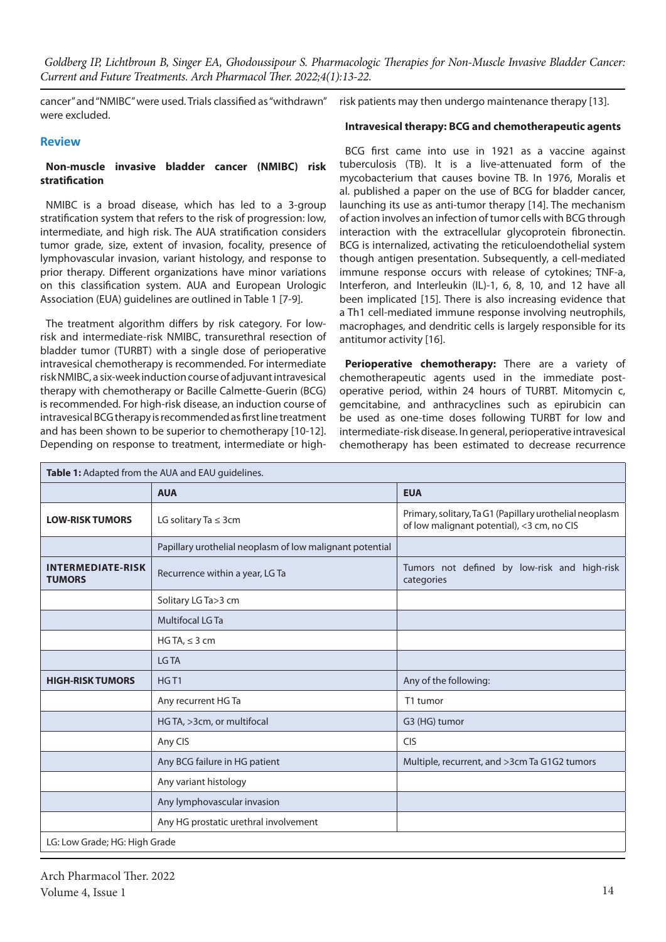cancer" and "NMIBC" were used. Trials classified as "withdrawn" were excluded.

risk patients may then undergo maintenance therapy [13].

### **Review**

## **Non-muscle invasive bladder cancer (NMIBC) risk stratification**

NMIBC is a broad disease, which has led to a 3-group stratification system that refers to the risk of progression: low, intermediate, and high risk. The AUA stratification considers tumor grade, size, extent of invasion, focality, presence of lymphovascular invasion, variant histology, and response to prior therapy. Different organizations have minor variations on this classification system. AUA and European Urologic Association (EUA) guidelines are outlined in Table 1 [7-9].

The treatment algorithm differs by risk category. For lowrisk and intermediate-risk NMIBC, transurethral resection of bladder tumor (TURBT) with a single dose of perioperative intravesical chemotherapy is recommended. For intermediate risk NMIBC, a six-week induction course of adjuvant intravesical therapy with chemotherapy or Bacille Calmette-Guerin (BCG) is recommended. For high-risk disease, an induction course of intravesical BCG therapy is recommended as first line treatment and has been shown to be superior to chemotherapy [10-12]. Depending on response to treatment, intermediate or high**Intravesical therapy: BCG and chemotherapeutic agents**

BCG first came into use in 1921 as a vaccine against tuberculosis (TB). It is a live-attenuated form of the mycobacterium that causes bovine TB. In 1976, Moralis et al. published a paper on the use of BCG for bladder cancer, launching its use as anti-tumor therapy [14]. The mechanism of action involves an infection of tumor cells with BCG through interaction with the extracellular glycoprotein fibronectin. BCG is internalized, activating the reticuloendothelial system though antigen presentation. Subsequently, a cell-mediated immune response occurs with release of cytokines; TNF-a, Interferon, and Interleukin (IL)-1, 6, 8, 10, and 12 have all been implicated [15]. There is also increasing evidence that a Th1 cell-mediated immune response involving neutrophils, macrophages, and dendritic cells is largely responsible for its antitumor activity [16].

Perioperative chemotherapy: There are a variety of chemotherapeutic agents used in the immediate postoperative period, within 24 hours of TURBT. Mitomycin c, gemcitabine, and anthracyclines such as epirubicin can be used as one-time doses following TURBT for low and intermediate-risk disease. In general, perioperative intravesical chemotherapy has been estimated to decrease recurrence

| Table 1: Adapted from the AUA and EAU guidelines. |                                                          |                                                                                                       |  |  |  |
|---------------------------------------------------|----------------------------------------------------------|-------------------------------------------------------------------------------------------------------|--|--|--|
|                                                   | <b>AUA</b>                                               | <b>EUA</b>                                                                                            |  |  |  |
| <b>LOW-RISK TUMORS</b>                            | LG solitary Ta $\leq$ 3cm                                | Primary, solitary, Ta G1 (Papillary urothelial neoplasm<br>of low malignant potential), <3 cm, no CIS |  |  |  |
|                                                   | Papillary urothelial neoplasm of low malignant potential |                                                                                                       |  |  |  |
| <b>INTERMEDIATE-RISK</b><br><b>TUMORS</b>         | Recurrence within a year, LG Ta                          | Tumors not defined by low-risk and high-risk<br>categories                                            |  |  |  |
|                                                   | Solitary LG Ta>3 cm                                      |                                                                                                       |  |  |  |
|                                                   | Multifocal LG Ta                                         |                                                                                                       |  |  |  |
|                                                   | HG TA, $\leq$ 3 cm                                       |                                                                                                       |  |  |  |
|                                                   | LG TA                                                    |                                                                                                       |  |  |  |
| <b>HIGH-RISK TUMORS</b>                           | HGT <sub>1</sub>                                         | Any of the following:                                                                                 |  |  |  |
|                                                   | Any recurrent HG Ta                                      | T1 tumor                                                                                              |  |  |  |
|                                                   | HG TA, >3cm, or multifocal                               | G3 (HG) tumor                                                                                         |  |  |  |
|                                                   | Any CIS                                                  | <b>CIS</b>                                                                                            |  |  |  |
|                                                   | Any BCG failure in HG patient                            | Multiple, recurrent, and >3cm Ta G1G2 tumors                                                          |  |  |  |
|                                                   | Any variant histology                                    |                                                                                                       |  |  |  |
|                                                   | Any lymphovascular invasion                              |                                                                                                       |  |  |  |
|                                                   | Any HG prostatic urethral involvement                    |                                                                                                       |  |  |  |
| LG: Low Grade; HG: High Grade                     |                                                          |                                                                                                       |  |  |  |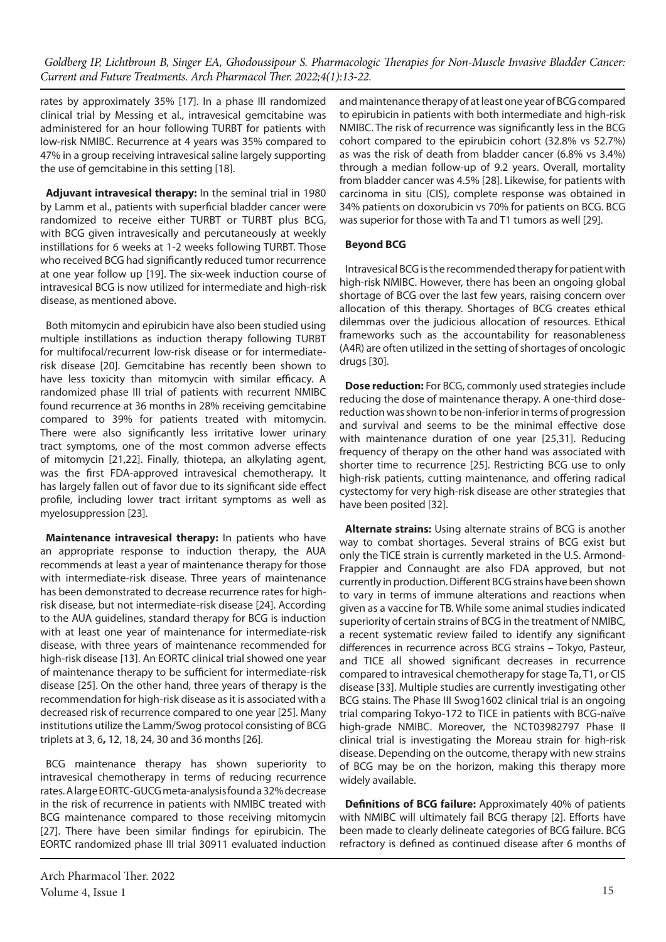rates by approximately 35% [17]. In a phase III randomized clinical trial by Messing et al., intravesical gemcitabine was administered for an hour following TURBT for patients with low-risk NMIBC. Recurrence at 4 years was 35% compared to 47% in a group receiving intravesical saline largely supporting the use of gemcitabine in this setting [18].

**Adjuvant intravesical therapy:** In the seminal trial in 1980 by Lamm et al., patients with superficial bladder cancer were randomized to receive either TURBT or TURBT plus BCG, with BCG given intravesically and percutaneously at weekly instillations for 6 weeks at 1-2 weeks following TURBT. Those who received BCG had significantly reduced tumor recurrence at one year follow up [19]. The six-week induction course of intravesical BCG is now utilized for intermediate and high-risk disease, as mentioned above.

Both mitomycin and epirubicin have also been studied using multiple instillations as induction therapy following TURBT for multifocal/recurrent low-risk disease or for intermediaterisk disease [20]. Gemcitabine has recently been shown to have less toxicity than mitomycin with similar efficacy. A randomized phase III trial of patients with recurrent NMIBC found recurrence at 36 months in 28% receiving gemcitabine compared to 39% for patients treated with mitomycin. There were also significantly less irritative lower urinary tract symptoms, one of the most common adverse effects of mitomycin [21,22]. Finally, thiotepa, an alkylating agent, was the first FDA-approved intravesical chemotherapy. It has largely fallen out of favor due to its significant side effect profile, including lower tract irritant symptoms as well as myelosuppression [23].

**Maintenance intravesical therapy:** In patients who have an appropriate response to induction therapy, the AUA recommends at least a year of maintenance therapy for those with intermediate-risk disease. Three years of maintenance has been demonstrated to decrease recurrence rates for highrisk disease, but not intermediate-risk disease [24]. According to the AUA guidelines, standard therapy for BCG is induction with at least one year of maintenance for intermediate-risk disease, with three years of maintenance recommended for high-risk disease [13]. An EORTC clinical trial showed one year of maintenance therapy to be sufficient for intermediate-risk disease [25]. On the other hand, three years of therapy is the recommendation for high-risk disease as it is associated with a decreased risk of recurrence compared to one year [25]. Many institutions utilize the Lamm/Swog protocol consisting of BCG triplets at 3, 6**,** 12, 18, 24, 30 and 36 months [26].

BCG maintenance therapy has shown superiority to intravesical chemotherapy in terms of reducing recurrence rates. A large EORTC-GUCG meta-analysis found a 32% decrease in the risk of recurrence in patients with NMIBC treated with BCG maintenance compared to those receiving mitomycin [27]. There have been similar findings for epirubicin. The EORTC randomized phase III trial 30911 evaluated induction

Arch Pharmacol Ther. 2022 Volume 4, Issue 1  $15$ 

and maintenance therapy of at least one year of BCG compared to epirubicin in patients with both intermediate and high-risk NMIBC. The risk of recurrence was significantly less in the BCG cohort compared to the epirubicin cohort (32.8% vs 52.7%) as was the risk of death from bladder cancer (6.8% vs 3.4%) through a median follow-up of 9.2 years. Overall, mortality from bladder cancer was 4.5% [28]. Likewise, for patients with carcinoma in situ (CIS), complete response was obtained in 34% patients on doxorubicin vs 70% for patients on BCG. BCG was superior for those with Ta and T1 tumors as well [29].

### **Beyond BCG**

Intravesical BCG is the recommended therapy for patient with high-risk NMIBC. However, there has been an ongoing global shortage of BCG over the last few years, raising concern over allocation of this therapy. Shortages of BCG creates ethical dilemmas over the judicious allocation of resources. Ethical frameworks such as the accountability for reasonableness (A4R) are often utilized in the setting of shortages of oncologic drugs [30].

**Dose reduction:** For BCG, commonly used strategies include reducing the dose of maintenance therapy. A one-third dosereduction was shown to be non-inferior in terms of progression and survival and seems to be the minimal effective dose with maintenance duration of one year [25,31]. Reducing frequency of therapy on the other hand was associated with shorter time to recurrence [25]. Restricting BCG use to only high-risk patients, cutting maintenance, and offering radical cystectomy for very high-risk disease are other strategies that have been posited [32].

**Alternate strains:** Using alternate strains of BCG is another way to combat shortages. Several strains of BCG exist but only the TICE strain is currently marketed in the U.S. Armond-Frappier and Connaught are also FDA approved, but not currently in production. Different BCG strains have been shown to vary in terms of immune alterations and reactions when given as a vaccine for TB. While some animal studies indicated superiority of certain strains of BCG in the treatment of NMIBC, a recent systematic review failed to identify any significant differences in recurrence across BCG strains – Tokyo, Pasteur, and TICE all showed significant decreases in recurrence compared to intravesical chemotherapy for stage Ta, T1, or CIS disease [33]. Multiple studies are currently investigating other BCG stains. The Phase III Swog1602 clinical trial is an ongoing trial comparing Tokyo-172 to TICE in patients with BCG-naïve high-grade NMIBC. Moreover, the NCT03982797 Phase II clinical trial is investigating the Moreau strain for high-risk disease. Depending on the outcome, therapy with new strains of BCG may be on the horizon, making this therapy more widely available.

**Definitions of BCG failure:** Approximately 40% of patients with NMIBC will ultimately fail BCG therapy [2]. Efforts have been made to clearly delineate categories of BCG failure. BCG refractory is defined as continued disease after 6 months of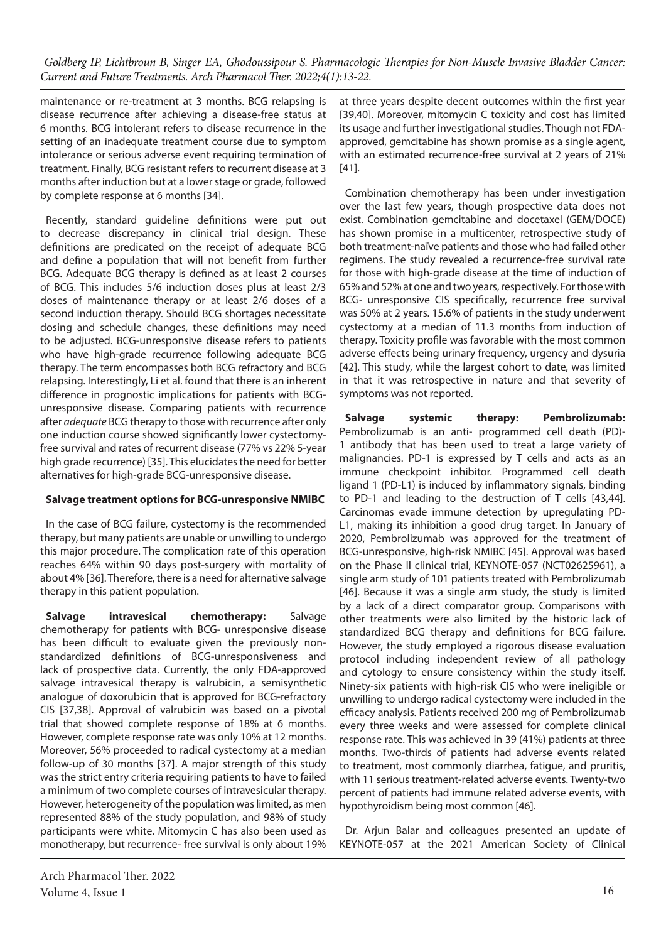maintenance or re-treatment at 3 months. BCG relapsing is disease recurrence after achieving a disease-free status at 6 months. BCG intolerant refers to disease recurrence in the setting of an inadequate treatment course due to symptom intolerance or serious adverse event requiring termination of treatment. Finally, BCG resistant refers to recurrent disease at 3 months after induction but at a lower stage or grade, followed by complete response at 6 months [34].

Recently, standard guideline definitions were put out to decrease discrepancy in clinical trial design. These definitions are predicated on the receipt of adequate BCG and define a population that will not benefit from further BCG. Adequate BCG therapy is defined as at least 2 courses of BCG. This includes 5/6 induction doses plus at least 2/3 doses of maintenance therapy or at least 2/6 doses of a second induction therapy. Should BCG shortages necessitate dosing and schedule changes, these definitions may need to be adjusted. BCG-unresponsive disease refers to patients who have high-grade recurrence following adequate BCG therapy. The term encompasses both BCG refractory and BCG relapsing. Interestingly, Li et al. found that there is an inherent difference in prognostic implications for patients with BCGunresponsive disease. Comparing patients with recurrence after *adequate* BCG therapy to those with recurrence after only one induction course showed significantly lower cystectomyfree survival and rates of recurrent disease (77% vs 22% 5-year high grade recurrence) [35]. This elucidates the need for better alternatives for high-grade BCG-unresponsive disease.

### **Salvage treatment options for BCG-unresponsive NMIBC**

In the case of BCG failure, cystectomy is the recommended therapy, but many patients are unable or unwilling to undergo this major procedure. The complication rate of this operation reaches 64% within 90 days post-surgery with mortality of about 4% [36]. Therefore, there is a need for alternative salvage therapy in this patient population.

**Salvage intravesical chemotherapy:** Salvage chemotherapy for patients with BCG- unresponsive disease has been difficult to evaluate given the previously nonstandardized definitions of BCG-unresponsiveness and lack of prospective data. Currently, the only FDA-approved salvage intravesical therapy is valrubicin, a semisynthetic analogue of doxorubicin that is approved for BCG-refractory CIS [37,38]. Approval of valrubicin was based on a pivotal trial that showed complete response of 18% at 6 months. However, complete response rate was only 10% at 12 months. Moreover, 56% proceeded to radical cystectomy at a median follow-up of 30 months [37]. A major strength of this study was the strict entry criteria requiring patients to have to failed a minimum of two complete courses of intravesicular therapy. However, heterogeneity of the population was limited, as men represented 88% of the study population, and 98% of study participants were white. Mitomycin C has also been used as monotherapy, but recurrence- free survival is only about 19% at three years despite decent outcomes within the first year [39,40]. Moreover, mitomycin C toxicity and cost has limited its usage and further investigational studies. Though not FDAapproved, gemcitabine has shown promise as a single agent, with an estimated recurrence-free survival at 2 years of 21% [41].

Combination chemotherapy has been under investigation over the last few years, though prospective data does not exist. Combination gemcitabine and docetaxel (GEM/DOCE) has shown promise in a multicenter, retrospective study of both treatment-naïve patients and those who had failed other regimens. The study revealed a recurrence-free survival rate for those with high-grade disease at the time of induction of 65% and 52% at one and two years, respectively. For those with BCG- unresponsive CIS specifically, recurrence free survival was 50% at 2 years. 15.6% of patients in the study underwent cystectomy at a median of 11.3 months from induction of therapy. Toxicity profile was favorable with the most common adverse effects being urinary frequency, urgency and dysuria [42]. This study, while the largest cohort to date, was limited in that it was retrospective in nature and that severity of symptoms was not reported.

**Salvage systemic therapy: Pembrolizumab:**  Pembrolizumab is an anti- programmed cell death (PD)- 1 antibody that has been used to treat a large variety of malignancies. PD-1 is expressed by T cells and acts as an immune checkpoint inhibitor. Programmed cell death ligand 1 (PD-L1) is induced by inflammatory signals, binding to PD-1 and leading to the destruction of T cells [43,44]. Carcinomas evade immune detection by upregulating PD-L1, making its inhibition a good drug target. In January of 2020, Pembrolizumab was approved for the treatment of BCG-unresponsive, high-risk NMIBC [45]. Approval was based on the Phase II clinical trial, KEYNOTE-057 (NCT02625961), a single arm study of 101 patients treated with Pembrolizumab [46]. Because it was a single arm study, the study is limited by a lack of a direct comparator group. Comparisons with other treatments were also limited by the historic lack of standardized BCG therapy and definitions for BCG failure. However, the study employed a rigorous disease evaluation protocol including independent review of all pathology and cytology to ensure consistency within the study itself. Ninety-six patients with high-risk CIS who were ineligible or unwilling to undergo radical cystectomy were included in the efficacy analysis. Patients received 200 mg of Pembrolizumab every three weeks and were assessed for complete clinical response rate. This was achieved in 39 (41%) patients at three months. Two-thirds of patients had adverse events related to treatment, most commonly diarrhea, fatigue, and pruritis, with 11 serious treatment-related adverse events. Twenty-two percent of patients had immune related adverse events, with hypothyroidism being most common [46].

Dr. Arjun Balar and colleagues presented an update of KEYNOTE-057 at the 2021 American Society of Clinical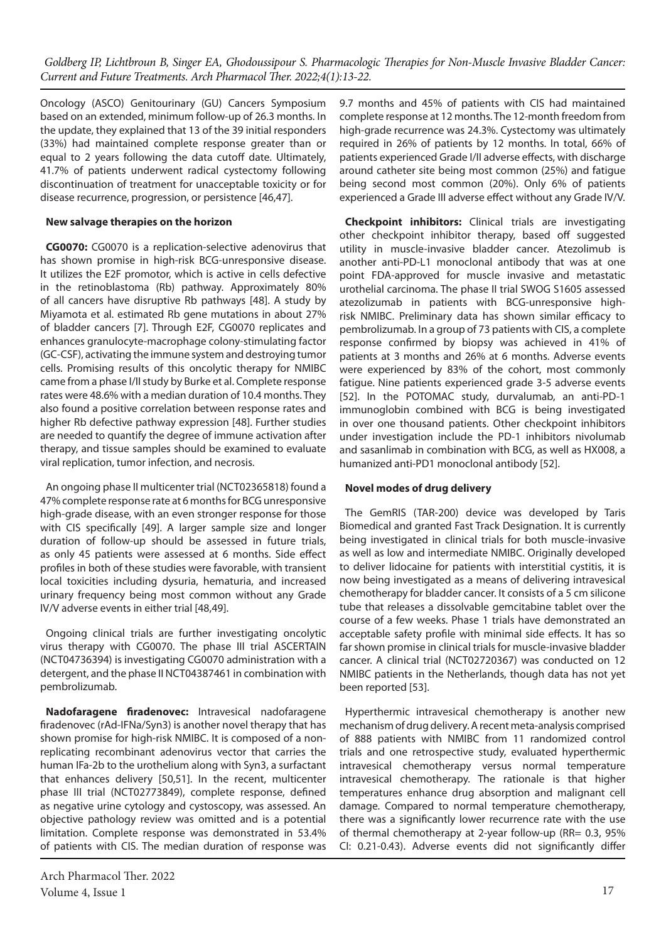Oncology (ASCO) Genitourinary (GU) Cancers Symposium based on an extended, minimum follow-up of 26.3 months. In the update, they explained that 13 of the 39 initial responders (33%) had maintained complete response greater than or equal to 2 years following the data cutoff date. Ultimately, 41.7% of patients underwent radical cystectomy following discontinuation of treatment for unacceptable toxicity or for disease recurrence, progression, or persistence [46,47].

#### **New salvage therapies on the horizon**

**CG0070:** CG0070 is a replication-selective adenovirus that has shown promise in high-risk BCG-unresponsive disease. It utilizes the E2F promotor, which is active in cells defective in the retinoblastoma (Rb) pathway. Approximately 80% of all cancers have disruptive Rb pathways [48]. A study by Miyamota et al. estimated Rb gene mutations in about 27% of bladder cancers [7]. Through E2F, CG0070 replicates and enhances granulocyte-macrophage colony-stimulating factor (GC-CSF), activating the immune system and destroying tumor cells. Promising results of this oncolytic therapy for NMIBC came from a phase I/II study by Burke et al. Complete response rates were 48.6% with a median duration of 10.4 months. They also found a positive correlation between response rates and higher Rb defective pathway expression [48]. Further studies are needed to quantify the degree of immune activation after therapy, and tissue samples should be examined to evaluate viral replication, tumor infection, and necrosis.

An ongoing phase II multicenter trial (NCT02365818) found a 47% complete response rate at 6 months for BCG unresponsive high-grade disease, with an even stronger response for those with CIS specifically [49]. A larger sample size and longer duration of follow-up should be assessed in future trials, as only 45 patients were assessed at 6 months. Side effect profiles in both of these studies were favorable, with transient local toxicities including dysuria, hematuria, and increased urinary frequency being most common without any Grade IV/V adverse events in either trial [48,49].

Ongoing clinical trials are further investigating oncolytic virus therapy with CG0070. The phase III trial ASCERTAIN (NCT04736394) is investigating CG0070 administration with a detergent, and the phase II NCT04387461 in combination with pembrolizumab.

**Nadofaragene firadenovec:** Intravesical nadofaragene firadenovec (rAd-IFNa/Syn3) is another novel therapy that has shown promise for high-risk NMIBC. It is composed of a nonreplicating recombinant adenovirus vector that carries the human IFa-2b to the urothelium along with Syn3, a surfactant that enhances delivery [50,51]. In the recent, multicenter phase III trial (NCT02773849), complete response, defined as negative urine cytology and cystoscopy, was assessed. An objective pathology review was omitted and is a potential limitation. Complete response was demonstrated in 53.4% of patients with CIS. The median duration of response was

Arch Pharmacol Ther. 2022 Volume 4, Issue 1  $17$ 

9.7 months and 45% of patients with CIS had maintained complete response at 12 months. The 12-month freedom from high-grade recurrence was 24.3%. Cystectomy was ultimately required in 26% of patients by 12 months. In total, 66% of patients experienced Grade I/II adverse effects, with discharge around catheter site being most common (25%) and fatigue being second most common (20%). Only 6% of patients experienced a Grade III adverse effect without any Grade IV/V.

**Checkpoint inhibitors:** Clinical trials are investigating other checkpoint inhibitor therapy, based off suggested utility in muscle-invasive bladder cancer. Atezolimub is another anti-PD-L1 monoclonal antibody that was at one point FDA-approved for muscle invasive and metastatic urothelial carcinoma. The phase II trial SWOG S1605 assessed atezolizumab in patients with BCG-unresponsive highrisk NMIBC. Preliminary data has shown similar efficacy to pembrolizumab. In a group of 73 patients with CIS, a complete response confirmed by biopsy was achieved in 41% of patients at 3 months and 26% at 6 months. Adverse events were experienced by 83% of the cohort, most commonly fatigue. Nine patients experienced grade 3-5 adverse events [52]. In the POTOMAC study, durvalumab, an anti-PD-1 immunoglobin combined with BCG is being investigated in over one thousand patients. Other checkpoint inhibitors under investigation include the PD-1 inhibitors nivolumab and sasanlimab in combination with BCG, as well as HX008, a humanized anti-PD1 monoclonal antibody [52].

### **Novel modes of drug delivery**

The GemRIS (TAR-200) device was developed by Taris Biomedical and granted Fast Track Designation. It is currently being investigated in clinical trials for both muscle-invasive as well as low and intermediate NMIBC. Originally developed to deliver lidocaine for patients with interstitial cystitis, it is now being investigated as a means of delivering intravesical chemotherapy for bladder cancer. It consists of a 5 cm silicone tube that releases a dissolvable gemcitabine tablet over the course of a few weeks. Phase 1 trials have demonstrated an acceptable safety profile with minimal side effects. It has so far shown promise in clinical trials for muscle-invasive bladder cancer. A clinical trial (NCT02720367) was conducted on 12 NMIBC patients in the Netherlands, though data has not yet been reported [53].

Hyperthermic intravesical chemotherapy is another new mechanism of drug delivery. A recent meta-analysis comprised of 888 patients with NMIBC from 11 randomized control trials and one retrospective study, evaluated hyperthermic intravesical chemotherapy versus normal temperature intravesical chemotherapy. The rationale is that higher temperatures enhance drug absorption and malignant cell damage. Compared to normal temperature chemotherapy, there was a significantly lower recurrence rate with the use of thermal chemotherapy at 2-year follow-up (RR= 0.3, 95% CI: 0.21-0.43). Adverse events did not significantly differ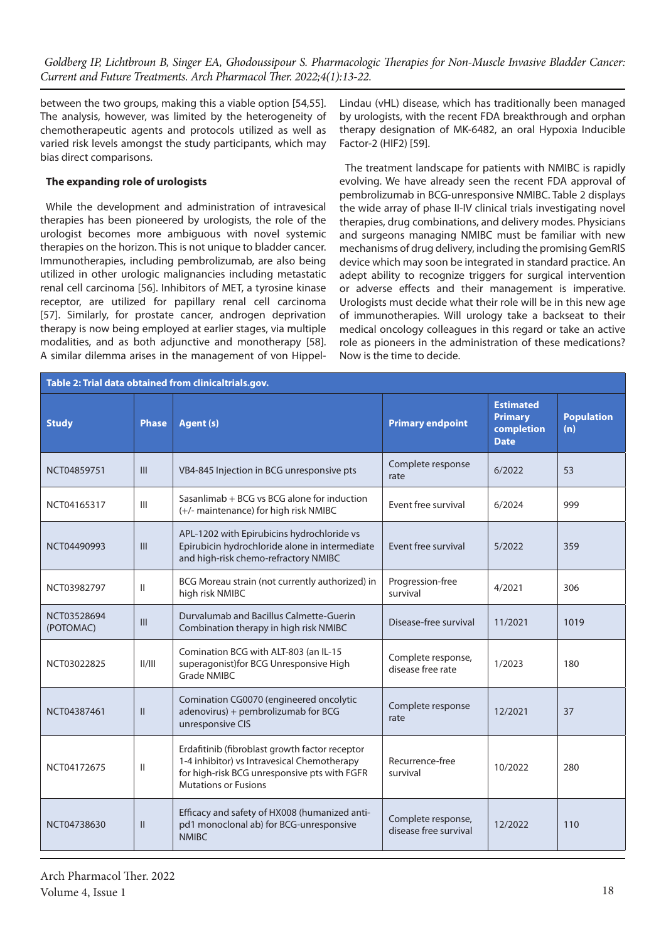between the two groups, making this a viable option [54,55]. The analysis, however, was limited by the heterogeneity of chemotherapeutic agents and protocols utilized as well as varied risk levels amongst the study participants, which may bias direct comparisons.

## **The expanding role of urologists**

While the development and administration of intravesical therapies has been pioneered by urologists, the role of the urologist becomes more ambiguous with novel systemic therapies on the horizon. This is not unique to bladder cancer. Immunotherapies, including pembrolizumab, are also being utilized in other urologic malignancies including metastatic renal cell carcinoma [56]. Inhibitors of MET, a tyrosine kinase receptor, are utilized for papillary renal cell carcinoma [57]. Similarly, for prostate cancer, androgen deprivation therapy is now being employed at earlier stages, via multiple modalities, and as both adjunctive and monotherapy [58]. A similar dilemma arises in the management of von HippelLindau (vHL) disease, which has traditionally been managed by urologists, with the recent FDA breakthrough and orphan therapy designation of MK-6482, an oral Hypoxia Inducible Factor-2 (HIF2) [59].

The treatment landscape for patients with NMIBC is rapidly evolving. We have already seen the recent FDA approval of pembrolizumab in BCG-unresponsive NMIBC. Table 2 displays the wide array of phase II-IV clinical trials investigating novel therapies, drug combinations, and delivery modes. Physicians and surgeons managing NMIBC must be familiar with new mechanisms of drug delivery, including the promising GemRIS device which may soon be integrated in standard practice. An adept ability to recognize triggers for surgical intervention or adverse effects and their management is imperative. Urologists must decide what their role will be in this new age of immunotherapies. Will urology take a backseat to their medical oncology colleagues in this regard or take an active role as pioneers in the administration of these medications? Now is the time to decide.

| Table 2: Trial data obtained from clinicaltrials.gov. |               |                                                                                                                                                                              |                                             |                                                                 |                          |  |  |  |
|-------------------------------------------------------|---------------|------------------------------------------------------------------------------------------------------------------------------------------------------------------------------|---------------------------------------------|-----------------------------------------------------------------|--------------------------|--|--|--|
| <b>Study</b>                                          | <b>Phase</b>  | <b>Agent (s)</b>                                                                                                                                                             | <b>Primary endpoint</b>                     | <b>Estimated</b><br><b>Primary</b><br>completion<br><b>Date</b> | <b>Population</b><br>(n) |  |  |  |
| NCT04859751                                           | III           | VB4-845 Injection in BCG unresponsive pts                                                                                                                                    | Complete response<br>rate                   | 6/2022                                                          | 53                       |  |  |  |
| NCT04165317                                           | III           | Sasanlimab + BCG vs BCG alone for induction<br>(+/- maintenance) for high risk NMIBC                                                                                         | Event free survival                         | 6/2024                                                          | 999                      |  |  |  |
| NCT04490993                                           | III           | APL-1202 with Epirubicins hydrochloride vs<br>Epirubicin hydrochloride alone in intermediate<br>and high-risk chemo-refractory NMIBC                                         | Event free survival                         | 5/2022                                                          | 359                      |  |  |  |
| NCT03982797                                           | Ш             | BCG Moreau strain (not currently authorized) in<br>high risk NMIBC                                                                                                           | Progression-free<br>survival                | 4/2021                                                          | 306                      |  |  |  |
| NCT03528694<br>(POTOMAC)                              | III           | Durvalumab and Bacillus Calmette-Guerin<br>Combination therapy in high risk NMIBC                                                                                            | Disease-free survival                       | 11/2021                                                         | 1019                     |  |  |  |
| NCT03022825                                           | II/III        | Comination BCG with ALT-803 (an IL-15<br>superagonist) for BCG Unresponsive High<br>Grade NMIBC                                                                              | Complete response,<br>disease free rate     | 1/2023                                                          | 180                      |  |  |  |
| NCT04387461                                           | $\mathbf{II}$ | Comination CG0070 (engineered oncolytic<br>adenovirus) + pembrolizumab for BCG<br>unresponsive CIS                                                                           | Complete response<br>rate                   | 12/2021                                                         | 37                       |  |  |  |
| NCT04172675                                           | Ш             | Erdafitinib (fibroblast growth factor receptor<br>1-4 inhibitor) vs Intravesical Chemotherapy<br>for high-risk BCG unresponsive pts with FGFR<br><b>Mutations or Fusions</b> | Recurrence-free<br>survival                 | 10/2022                                                         | 280                      |  |  |  |
| NCT04738630                                           | $\mathbf{II}$ | Efficacy and safety of HX008 (humanized anti-<br>pd1 monoclonal ab) for BCG-unresponsive<br><b>NMIBC</b>                                                                     | Complete response,<br>disease free survival | 12/2022                                                         | 110                      |  |  |  |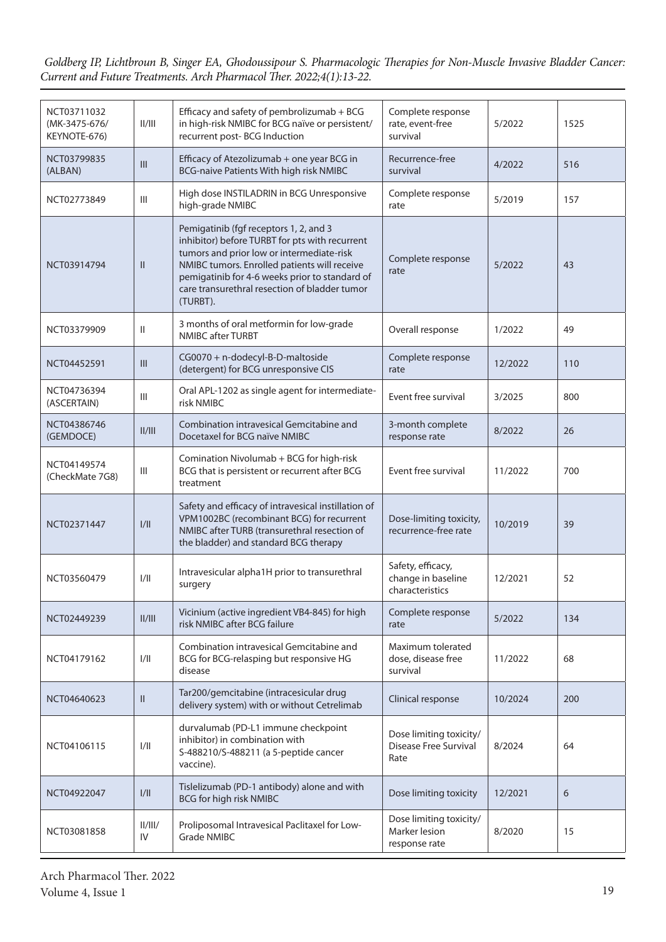| NCT03711032<br>(MK-3475-676/<br>KEYNOTE-676) | II/III                             | Efficacy and safety of pembrolizumab + BCG<br>in high-risk NMIBC for BCG naïve or persistent/<br>recurrent post-BCG Induction                                                                                                                                                                        | Complete response<br>rate, event-free<br>survival               | 5/2022  | 1525 |
|----------------------------------------------|------------------------------------|------------------------------------------------------------------------------------------------------------------------------------------------------------------------------------------------------------------------------------------------------------------------------------------------------|-----------------------------------------------------------------|---------|------|
| NCT03799835<br>(ALBAN)                       | $\ensuremath{\mathsf{III}}\xspace$ | Efficacy of Atezolizumab + one year BCG in<br>BCG-naive Patients With high risk NMIBC                                                                                                                                                                                                                | Recurrence-free<br>survival                                     | 4/2022  | 516  |
| NCT02773849                                  | $\ensuremath{\mathsf{III}}\xspace$ | High dose INSTILADRIN in BCG Unresponsive<br>high-grade NMIBC                                                                                                                                                                                                                                        | Complete response<br>rate                                       | 5/2019  | 157  |
| NCT03914794                                  | $\mathbf{II}$                      | Pemigatinib (fgf receptors 1, 2, and 3<br>inhibitor) before TURBT for pts with recurrent<br>tumors and prior low or intermediate-risk<br>NMIBC tumors. Enrolled patients will receive<br>pemigatinib for 4-6 weeks prior to standard of<br>care transurethral resection of bladder tumor<br>(TURBT). | Complete response<br>rate                                       | 5/2022  | 43   |
| NCT03379909                                  | $\mathbf{II}$                      | 3 months of oral metformin for low-grade<br>NMIBC after TURBT                                                                                                                                                                                                                                        | Overall response                                                | 1/2022  | 49   |
| NCT04452591                                  | III                                | CG0070 + n-dodecyl-B-D-maltoside<br>(detergent) for BCG unresponsive CIS                                                                                                                                                                                                                             | Complete response<br>rate                                       | 12/2022 | 110  |
| NCT04736394<br>(ASCERTAIN)                   | Ш                                  | Oral APL-1202 as single agent for intermediate-<br>risk NMIBC                                                                                                                                                                                                                                        | Event free survival                                             | 3/2025  | 800  |
| NCT04386746<br>(GEMDOCE)                     | II/III                             | Combination intravesical Gemcitabine and<br>Docetaxel for BCG naïve NMIBC                                                                                                                                                                                                                            | 3-month complete<br>response rate                               | 8/2022  | 26   |
| NCT04149574<br>(CheckMate 7G8)               | $\mathbf{III}$                     | Comination Nivolumab + BCG for high-risk<br>BCG that is persistent or recurrent after BCG<br>treatment                                                                                                                                                                                               | Event free survival                                             | 11/2022 | 700  |
| NCT02371447                                  | 1/11                               | Safety and efficacy of intravesical instillation of<br>VPM1002BC (recombinant BCG) for recurrent<br>NMIBC after TURB (transurethral resection of<br>the bladder) and standard BCG therapy                                                                                                            | Dose-limiting toxicity,<br>recurrence-free rate                 | 10/2019 | 39   |
| NCT03560479                                  | 1/11                               | Intravesicular alpha1H prior to transurethral<br>surgery                                                                                                                                                                                                                                             | Safety, efficacy,<br>change in baseline<br>characteristics      | 12/2021 | 52   |
| NCT02449239                                  | II/III                             | Vicinium (active ingredient VB4-845) for high<br>risk NMIBC after BCG failure                                                                                                                                                                                                                        | Complete response<br>rate                                       | 5/2022  | 134  |
| NCT04179162                                  | 1/11                               | Combination intravesical Gemcitabine and<br>BCG for BCG-relasping but responsive HG<br>disease                                                                                                                                                                                                       | Maximum tolerated<br>dose, disease free<br>survival             | 11/2022 | 68   |
| NCT04640623                                  | $\mathbf{II}$                      | Tar200/gemcitabine (intracesicular drug<br>delivery system) with or without Cetrelimab                                                                                                                                                                                                               | Clinical response                                               | 10/2024 | 200  |
| NCT04106115                                  | 1/11                               | durvalumab (PD-L1 immune checkpoint<br>inhibitor) in combination with<br>S-488210/S-488211 (a 5-peptide cancer<br>vaccine).                                                                                                                                                                          | Dose limiting toxicity/<br><b>Disease Free Survival</b><br>Rate | 8/2024  | 64   |
| NCT04922047                                  | 1/11                               | Tislelizumab (PD-1 antibody) alone and with<br>BCG for high risk NMIBC                                                                                                                                                                                                                               | Dose limiting toxicity                                          | 12/2021 | 6    |
| NCT03081858                                  | II/III/<br>IV                      | Proliposomal Intravesical Paclitaxel for Low-<br><b>Grade NMIBC</b>                                                                                                                                                                                                                                  | Dose limiting toxicity/<br>Marker lesion<br>response rate       | 8/2020  | 15   |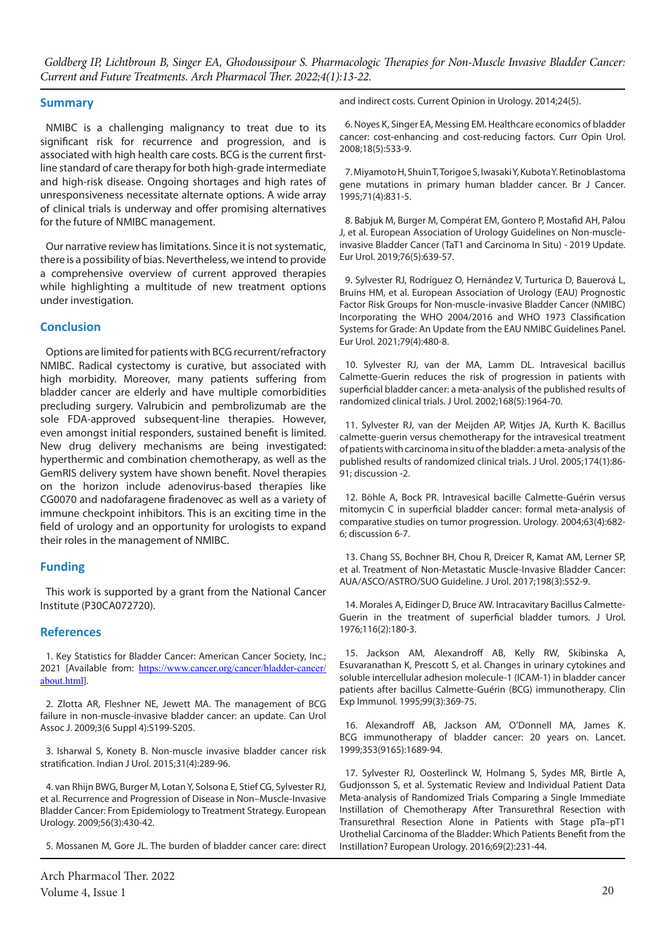#### **Summary**

NMIBC is a challenging malignancy to treat due to its significant risk for recurrence and progression, and is associated with high health care costs. BCG is the current firstline standard of care therapy for both high-grade intermediate and high-risk disease. Ongoing shortages and high rates of unresponsiveness necessitate alternate options. A wide array of clinical trials is underway and offer promising alternatives for the future of NMIBC management.

Our narrative review has limitations. Since it is not systematic, there is a possibility of bias. Nevertheless, we intend to provide a comprehensive overview of current approved therapies while highlighting a multitude of new treatment options under investigation.

#### **Conclusion**

Options are limited for patients with BCG recurrent/refractory NMIBC. Radical cystectomy is curative, but associated with high morbidity. Moreover, many patients suffering from bladder cancer are elderly and have multiple comorbidities precluding surgery. Valrubicin and pembrolizumab are the sole FDA-approved subsequent-line therapies. However, even amongst initial responders, sustained benefit is limited. New drug delivery mechanisms are being investigated: hyperthermic and combination chemotherapy, as well as the GemRIS delivery system have shown benefit. Novel therapies on the horizon include adenovirus-based therapies like CG0070 and nadofaragene firadenovec as well as a variety of immune checkpoint inhibitors. This is an exciting time in the field of urology and an opportunity for urologists to expand their roles in the management of NMIBC.

### **Funding**

This work is supported by a grant from the National Cancer Institute (P30CA072720).

#### **References**

1. Key Statistics for Bladder Cancer: American Cancer Society, Inc.; 2021 [Available from: [https://www.cancer.org/cancer/bladder-cancer/](https://www.cancer.org/cancer/bladder-cancer/about.html) [about.html](https://www.cancer.org/cancer/bladder-cancer/about.html)].

2. Zlotta AR, Fleshner NE, Jewett MA. The management of BCG failure in non-muscle-invasive bladder cancer: an update. Can Urol Assoc J. 2009;3(6 Suppl 4):S199-S205.

3. Isharwal S, Konety B. Non-muscle invasive bladder cancer risk stratification. Indian J Urol. 2015;31(4):289-96.

4. van Rhijn BWG, Burger M, Lotan Y, Solsona E, Stief CG, Sylvester RJ, et al. Recurrence and Progression of Disease in Non–Muscle-Invasive Bladder Cancer: From Epidemiology to Treatment Strategy. European Urology. 2009;56(3):430-42.

5. Mossanen M, Gore JL. The burden of bladder cancer care: direct

Arch Pharmacol Ther. 2022 Volume 4, Issue 1 20

and indirect costs. Current Opinion in Urology. 2014;24(5).

6. Noyes K, Singer EA, Messing EM. Healthcare economics of bladder cancer: cost-enhancing and cost-reducing factors. Curr Opin Urol. 2008;18(5):533-9.

7. Miyamoto H, Shuin T, Torigoe S, Iwasaki Y, Kubota Y. Retinoblastoma gene mutations in primary human bladder cancer. Br J Cancer. 1995;71(4):831-5.

8. Babjuk M, Burger M, Compérat EM, Gontero P, Mostafid AH, Palou J, et al. European Association of Urology Guidelines on Non-muscleinvasive Bladder Cancer (TaT1 and Carcinoma In Situ) - 2019 Update. Eur Urol. 2019;76(5):639-57.

9. Sylvester RJ, Rodríguez O, Hernández V, Turturica D, Bauerová L, Bruins HM, et al. European Association of Urology (EAU) Prognostic Factor Risk Groups for Non-muscle-invasive Bladder Cancer (NMIBC) Incorporating the WHO 2004/2016 and WHO 1973 Classification Systems for Grade: An Update from the EAU NMIBC Guidelines Panel. Eur Urol. 2021;79(4):480-8.

10. Sylvester RJ, van der MA, Lamm DL. Intravesical bacillus Calmette-Guerin reduces the risk of progression in patients with superficial bladder cancer: a meta-analysis of the published results of randomized clinical trials. J Urol. 2002;168(5):1964-70.

11. Sylvester RJ, van der Meijden AP, Witjes JA, Kurth K. Bacillus calmette-guerin versus chemotherapy for the intravesical treatment of patients with carcinoma in situ of the bladder: a meta-analysis of the published results of randomized clinical trials. J Urol. 2005;174(1):86- 91; discussion -2.

12. Böhle A, Bock PR. Intravesical bacille Calmette-Guérin versus mitomycin C in superficial bladder cancer: formal meta-analysis of comparative studies on tumor progression. Urology. 2004;63(4):682- 6; discussion 6-7.

13. Chang SS, Bochner BH, Chou R, Dreicer R, Kamat AM, Lerner SP, et al. Treatment of Non-Metastatic Muscle-Invasive Bladder Cancer: AUA/ASCO/ASTRO/SUO Guideline. J Urol. 2017;198(3):552-9.

14. Morales A, Eidinger D, Bruce AW. Intracavitary Bacillus Calmette-Guerin in the treatment of superficial bladder tumors. J Urol. 1976;116(2):180-3.

15. Jackson AM, Alexandroff AB, Kelly RW, Skibinska A, Esuvaranathan K, Prescott S, et al. Changes in urinary cytokines and soluble intercellular adhesion molecule-1 (ICAM-1) in bladder cancer patients after bacillus Calmette-Guérin (BCG) immunotherapy. Clin Exp Immunol. 1995;99(3):369-75.

16. Alexandroff AB, Jackson AM, O'Donnell MA, James K. BCG immunotherapy of bladder cancer: 20 years on. Lancet. 1999;353(9165):1689-94.

17. Sylvester RJ, Oosterlinck W, Holmang S, Sydes MR, Birtle A, Gudjonsson S, et al. Systematic Review and Individual Patient Data Meta-analysis of Randomized Trials Comparing a Single Immediate Instillation of Chemotherapy After Transurethral Resection with Transurethral Resection Alone in Patients with Stage pTa–pT1 Urothelial Carcinoma of the Bladder: Which Patients Benefit from the Instillation? European Urology. 2016;69(2):231-44.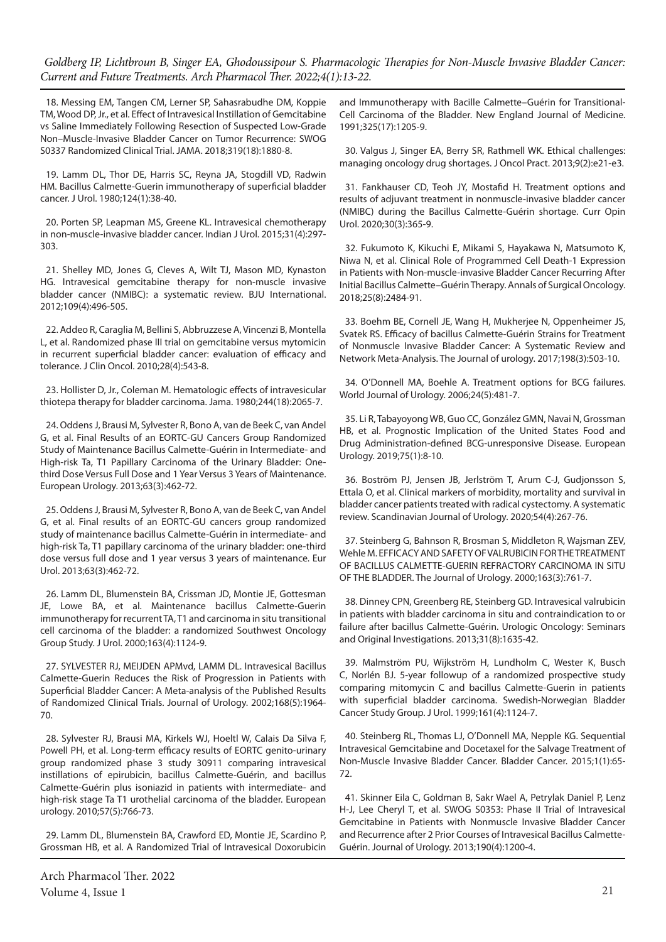18. Messing EM, Tangen CM, Lerner SP, Sahasrabudhe DM, Koppie TM, Wood DP, Jr., et al. Effect of Intravesical Instillation of Gemcitabine vs Saline Immediately Following Resection of Suspected Low-Grade Non–Muscle-Invasive Bladder Cancer on Tumor Recurrence: SWOG S0337 Randomized Clinical Trial. JAMA. 2018;319(18):1880-8.

19. Lamm DL, Thor DE, Harris SC, Reyna JA, Stogdill VD, Radwin HM. Bacillus Calmette-Guerin immunotherapy of superficial bladder cancer. J Urol. 1980;124(1):38-40.

20. Porten SP, Leapman MS, Greene KL. Intravesical chemotherapy in non-muscle-invasive bladder cancer. Indian J Urol. 2015;31(4):297- 303.

21. Shelley MD, Jones G, Cleves A, Wilt TJ, Mason MD, Kynaston HG. Intravesical gemcitabine therapy for non-muscle invasive bladder cancer (NMIBC): a systematic review. BJU International. 2012;109(4):496-505.

22. Addeo R, Caraglia M, Bellini S, Abbruzzese A, Vincenzi B, Montella L, et al. Randomized phase III trial on gemcitabine versus mytomicin in recurrent superficial bladder cancer: evaluation of efficacy and tolerance. J Clin Oncol. 2010;28(4):543-8.

23. Hollister D, Jr., Coleman M. Hematologic effects of intravesicular thiotepa therapy for bladder carcinoma. Jama. 1980;244(18):2065-7.

24. Oddens J, Brausi M, Sylvester R, Bono A, van de Beek C, van Andel G, et al. Final Results of an EORTC-GU Cancers Group Randomized Study of Maintenance Bacillus Calmette-Guérin in Intermediate- and High-risk Ta, T1 Papillary Carcinoma of the Urinary Bladder: Onethird Dose Versus Full Dose and 1 Year Versus 3 Years of Maintenance. European Urology. 2013;63(3):462-72.

25. Oddens J, Brausi M, Sylvester R, Bono A, van de Beek C, van Andel G, et al. Final results of an EORTC-GU cancers group randomized study of maintenance bacillus Calmette-Guérin in intermediate- and high-risk Ta, T1 papillary carcinoma of the urinary bladder: one-third dose versus full dose and 1 year versus 3 years of maintenance. Eur Urol. 2013;63(3):462-72.

26. Lamm DL, Blumenstein BA, Crissman JD, Montie JE, Gottesman JE, Lowe BA, et al. Maintenance bacillus Calmette-Guerin immunotherapy for recurrent TA, T1 and carcinoma in situ transitional cell carcinoma of the bladder: a randomized Southwest Oncology Group Study. J Urol. 2000;163(4):1124-9.

27. SYLVESTER RJ, MEIJDEN APMvd, LAMM DL. Intravesical Bacillus Calmette-Guerin Reduces the Risk of Progression in Patients with Superficial Bladder Cancer: A Meta-analysis of the Published Results of Randomized Clinical Trials. Journal of Urology. 2002;168(5):1964- 70.

28. Sylvester RJ, Brausi MA, Kirkels WJ, Hoeltl W, Calais Da Silva F, Powell PH, et al. Long-term efficacy results of EORTC genito-urinary group randomized phase 3 study 30911 comparing intravesical instillations of epirubicin, bacillus Calmette-Guérin, and bacillus Calmette-Guérin plus isoniazid in patients with intermediate- and high-risk stage Ta T1 urothelial carcinoma of the bladder. European urology. 2010;57(5):766-73.

29. Lamm DL, Blumenstein BA, Crawford ED, Montie JE, Scardino P, Grossman HB, et al. A Randomized Trial of Intravesical Doxorubicin

and Immunotherapy with Bacille Calmette–Guérin for Transitional-Cell Carcinoma of the Bladder. New England Journal of Medicine. 1991;325(17):1205-9.

30. Valgus J, Singer EA, Berry SR, Rathmell WK. Ethical challenges: managing oncology drug shortages. J Oncol Pract. 2013;9(2):e21-e3.

31. Fankhauser CD, Teoh JY, Mostafid H. Treatment options and results of adjuvant treatment in nonmuscle-invasive bladder cancer (NMIBC) during the Bacillus Calmette-Guérin shortage. Curr Opin Urol. 2020;30(3):365-9.

32. Fukumoto K, Kikuchi E, Mikami S, Hayakawa N, Matsumoto K, Niwa N, et al. Clinical Role of Programmed Cell Death-1 Expression in Patients with Non-muscle-invasive Bladder Cancer Recurring After Initial Bacillus Calmette–Guérin Therapy. Annals of Surgical Oncology. 2018;25(8):2484-91.

33. Boehm BE, Cornell JE, Wang H, Mukherjee N, Oppenheimer JS, Svatek RS. Efficacy of bacillus Calmette-Guérin Strains for Treatment of Nonmuscle Invasive Bladder Cancer: A Systematic Review and Network Meta-Analysis. The Journal of urology. 2017;198(3):503-10.

34. O'Donnell MA, Boehle A. Treatment options for BCG failures. World Journal of Urology. 2006;24(5):481-7.

35. Li R, Tabayoyong WB, Guo CC, González GMN, Navai N, Grossman HB, et al. Prognostic Implication of the United States Food and Drug Administration-defined BCG-unresponsive Disease. European Urology. 2019;75(1):8-10.

36. Boström PJ, Jensen JB, Jerlström T, Arum C-J, Gudjonsson S, Ettala O, et al. Clinical markers of morbidity, mortality and survival in bladder cancer patients treated with radical cystectomy. A systematic review. Scandinavian Journal of Urology. 2020;54(4):267-76.

37. Steinberg G, Bahnson R, Brosman S, Middleton R, Wajsman ZEV, Wehle M. EFFICACY AND SAFETY OF VALRUBICIN FOR THE TREATMENT OF BACILLUS CALMETTE-GUERIN REFRACTORY CARCINOMA IN SITU OF THE BLADDER. The Journal of Urology. 2000;163(3):761-7.

38. Dinney CPN, Greenberg RE, Steinberg GD. Intravesical valrubicin in patients with bladder carcinoma in situ and contraindication to or failure after bacillus Calmette-Guérin. Urologic Oncology: Seminars and Original Investigations. 2013;31(8):1635-42.

39. Malmström PU, Wijkström H, Lundholm C, Wester K, Busch C, Norlén BJ. 5-year followup of a randomized prospective study comparing mitomycin C and bacillus Calmette-Guerin in patients with superficial bladder carcinoma. Swedish-Norwegian Bladder Cancer Study Group. J Urol. 1999;161(4):1124-7.

40. Steinberg RL, Thomas LJ, O'Donnell MA, Nepple KG. Sequential Intravesical Gemcitabine and Docetaxel for the Salvage Treatment of Non-Muscle Invasive Bladder Cancer. Bladder Cancer. 2015;1(1):65- 72.

41. Skinner Eila C, Goldman B, Sakr Wael A, Petrylak Daniel P, Lenz H-J, Lee Cheryl T, et al. SWOG S0353: Phase II Trial of Intravesical Gemcitabine in Patients with Nonmuscle Invasive Bladder Cancer and Recurrence after 2 Prior Courses of Intravesical Bacillus Calmette-Guérin. Journal of Urology. 2013;190(4):1200-4.